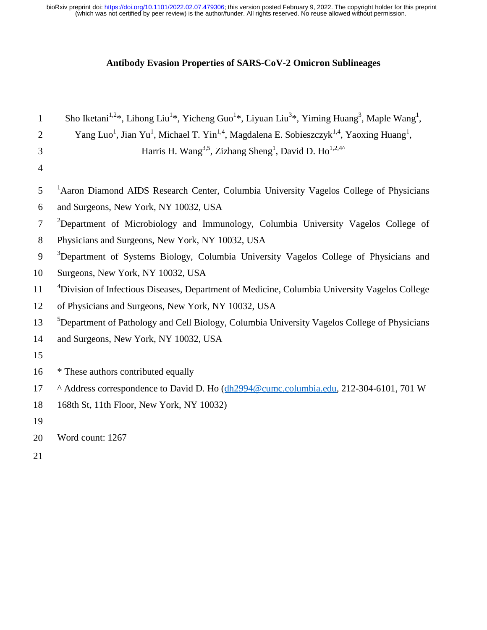(which was not certified by peer review) is the author/funder. All rights reserved. No reuse allowed without permission. bioRxiv preprint doi: [https://doi.org/10.1101/2022.02.07.479306;](https://doi.org/10.1101/2022.02.07.479306) this version posted February 9, 2022. The copyright holder for this preprint

# **Antibody Evasion Properties of SARS-CoV-2 Omicron Sublineages**

| $\mathbf{1}$   | Sho Iketani <sup>1,2*</sup> , Lihong Liu <sup>1*</sup> , Yicheng Guo <sup>1*</sup> , Liyuan Liu <sup>3*</sup> , Yiming Huang <sup>3</sup> , Maple Wang <sup>1</sup> , |
|----------------|-----------------------------------------------------------------------------------------------------------------------------------------------------------------------|
| $\overline{2}$ | Yang Luo <sup>1</sup> , Jian Yu <sup>1</sup> , Michael T. Yin <sup>1,4</sup> , Magdalena E. Sobieszczyk <sup>1,4</sup> , Yaoxing Huang <sup>1</sup> ,                 |
| 3              | Harris H. Wang <sup>3,5</sup> , Zizhang Sheng <sup>1</sup> , David D. Ho <sup>1,2,4</sup> <sup>^</sup>                                                                |
| $\overline{4}$ |                                                                                                                                                                       |
| 5              | <sup>1</sup> Aaron Diamond AIDS Research Center, Columbia University Vagelos College of Physicians                                                                    |
| 6              | and Surgeons, New York, NY 10032, USA                                                                                                                                 |
| 7              | <sup>2</sup> Department of Microbiology and Immunology, Columbia University Vagelos College of                                                                        |
| 8              | Physicians and Surgeons, New York, NY 10032, USA                                                                                                                      |
| 9              | <sup>3</sup> Department of Systems Biology, Columbia University Vagelos College of Physicians and                                                                     |
| 10             | Surgeons, New York, NY 10032, USA                                                                                                                                     |
| 11             | <sup>4</sup> Division of Infectious Diseases, Department of Medicine, Columbia University Vagelos College                                                             |
| 12             | of Physicians and Surgeons, New York, NY 10032, USA                                                                                                                   |
| 13             | <sup>5</sup> Department of Pathology and Cell Biology, Columbia University Vagelos College of Physicians                                                              |
| 14             | and Surgeons, New York, NY 10032, USA                                                                                                                                 |
| 15             |                                                                                                                                                                       |
| 16             | * These authors contributed equally                                                                                                                                   |
| 17             | ^ Address correspondence to David D. Ho (dh2994@cumc.columbia.edu, 212-304-6101, 701 W                                                                                |
| 18             | 168th St, 11th Floor, New York, NY 10032)                                                                                                                             |
| 19             |                                                                                                                                                                       |
| 20             | Word count: 1267                                                                                                                                                      |
| 21             |                                                                                                                                                                       |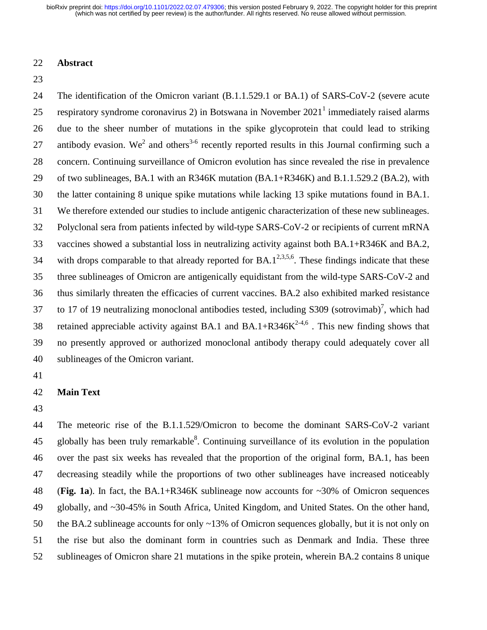### 22 **Abstract**

23

24 The identification of the Omicron variant (B.1.1.529.1 or BA.1) of SARS-CoV-2 (severe acute 25 respiratory syndrome coronavirus 2) in Botswana in November  $2021<sup>1</sup>$  immediately raised alarms 26 due to the sheer number of mutations in the spike glycoprotein that could lead to striking 27 antibody evasion. We<sup>2</sup> and others<sup>3-6</sup> recently reported results in this Journal confirming such a 28 concern. Continuing surveillance of Omicron evolution has since revealed the rise in prevalence 29 of two sublineages, BA.1 with an R346K mutation (BA.1+R346K) and B.1.1.529.2 (BA.2), with 30 the latter containing 8 unique spike mutations while lacking 13 spike mutations found in BA.1. 31 We therefore extended our studies to include antigenic characterization of these new sublineages. 32 Polyclonal sera from patients infected by wild-type SARS-CoV-2 or recipients of current mRNA 33 vaccines showed a substantial loss in neutralizing activity against both BA.1+R346K and BA.2, 34 with drops comparable to that already reported for  $BA.1^{2,3,5,6}$ . These findings indicate that these 35 three sublineages of Omicron are antigenically equidistant from the wild-type SARS-CoV-2 and 36 thus similarly threaten the efficacies of current vaccines. BA.2 also exhibited marked resistance 37 to 17 of 19 neutralizing monoclonal antibodies tested, including  $S309$  (sotrovimab)<sup>7</sup>, which had 38 retained appreciable activity against BA.1 and BA.1+R346 $K^{2-4,6}$ . This new finding shows that 39 no presently approved or authorized monoclonal antibody therapy could adequately cover all 40 sublineages of the Omicron variant.

41

#### 42 **Main Text**

43

44 The meteoric rise of the B.1.1.529/Omicron to become the dominant SARS-CoV-2 variant 45 globally has been truly remarkable<sup>8</sup>. Continuing surveillance of its evolution in the population 46 over the past six weeks has revealed that the proportion of the original form, BA.1, has been 47 decreasing steadily while the proportions of two other sublineages have increased noticeably 48 (**Fig. 1a**). In fact, the BA.1+R346K sublineage now accounts for ~30% of Omicron sequences 49 globally, and ~30-45% in South Africa, United Kingdom, and United States. On the other hand, 50 the BA.2 sublineage accounts for only ~13% of Omicron sequences globally, but it is not only on 51 the rise but also the dominant form in countries such as Denmark and India. These three 52 sublineages of Omicron share 21 mutations in the spike protein, wherein BA.2 contains 8 unique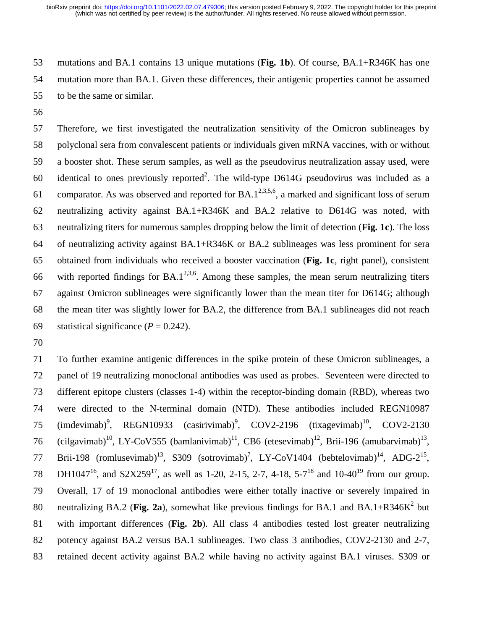53 mutations and BA.1 contains 13 unique mutations (**Fig. 1b**). Of course, BA.1+R346K has one 54 mutation more than BA.1. Given these differences, their antigenic properties cannot be assumed 55 to be the same or similar.

56

57 Therefore, we first investigated the neutralization sensitivity of the Omicron sublineages by 58 polyclonal sera from convalescent patients or individuals given mRNA vaccines, with or without 59 a booster shot. These serum samples, as well as the pseudovirus neutralization assay used, were 60 identical to ones previously reported<sup>2</sup>. The wild-type D614G pseudovirus was included as a 61 comparator. As was observed and reported for  $BA.1^{2,3,5,6}$ , a marked and significant loss of serum 62 neutralizing activity against BA.1+R346K and BA.2 relative to D614G was noted, with 63 neutralizing titers for numerous samples dropping below the limit of detection (**Fig. 1c**). The loss 64 of neutralizing activity against BA.1+R346K or BA.2 sublineages was less prominent for sera 65 obtained from individuals who received a booster vaccination (**Fig. 1c**, right panel), consistent 66 with reported findings for BA.1<sup>2,3,6</sup>. Among these samples, the mean serum neutralizing titers 67 against Omicron sublineages were significantly lower than the mean titer for D614G; although 68 the mean titer was slightly lower for BA.2, the difference from BA.1 sublineages did not reach 69 statistical significance  $(P = 0.242)$ .

70

71 To further examine antigenic differences in the spike protein of these Omicron sublineages, a 72 panel of 19 neutralizing monoclonal antibodies was used as probes. Seventeen were directed to 73 different epitope clusters (classes 1-4) within the receptor-binding domain (RBD), whereas two 74 were directed to the N-terminal domain (NTD). These antibodies included REGN10987 75 (imdevimab)<sup>9</sup>, REGN10933 (casirivimab)<sup>9</sup>, COV2-2196 (tixagevimab)<sup>10</sup>, COV2-2130 76 (cilgavimab)<sup>10</sup>, LY-CoV555 (bamlanivimab)<sup>11</sup>, CB6 (etesevimab)<sup>12</sup>, Brii-196 (amubarvimab)<sup>13</sup>, 77 Brii-198 (romlusevimab)<sup>13</sup>, S309 (sotrovimab)<sup>7</sup>, LY-CoV1404 (bebtelovimab)<sup>14</sup>, ADG-2<sup>15</sup>, 78 DH1047<sup>16</sup>, and S2X259<sup>17</sup>, as well as 1-20, 2-15, 2-7, 4-18, 5-7<sup>18</sup> and 10-40<sup>19</sup> from our group. 79 Overall, 17 of 19 monoclonal antibodies were either totally inactive or severely impaired in 80 neutralizing BA.2 (**Fig. 2a**), somewhat like previous findings for BA.1 and BA.1+R346K<sup>2</sup> but 81 with important differences (**Fig. 2b**). All class 4 antibodies tested lost greater neutralizing 82 potency against BA.2 versus BA.1 sublineages. Two class 3 antibodies, COV2-2130 and 2-7, 83 retained decent activity against BA.2 while having no activity against BA.1 viruses. S309 or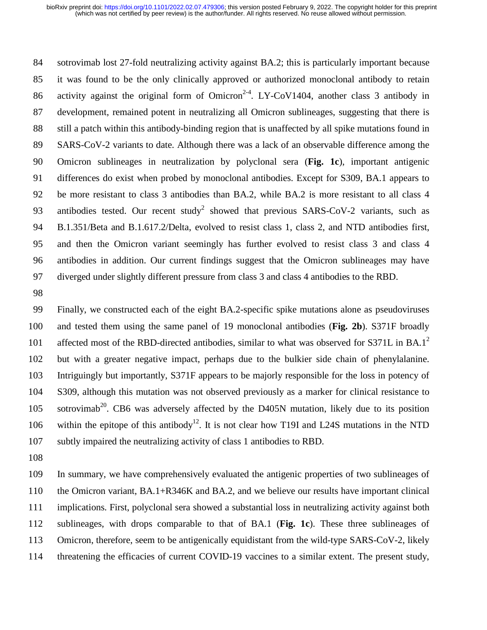84 sotrovimab lost 27-fold neutralizing activity against BA.2; this is particularly important because 85 it was found to be the only clinically approved or authorized monoclonal antibody to retain 86 activity against the original form of Omicron<sup>2-4</sup>. LY-CoV1404, another class 3 antibody in 87 development, remained potent in neutralizing all Omicron sublineages, suggesting that there is 88 still a patch within this antibody-binding region that is unaffected by all spike mutations found in 89 SARS-CoV-2 variants to date. Although there was a lack of an observable difference among the 90 Omicron sublineages in neutralization by polyclonal sera (**Fig. 1c**), important antigenic 91 differences do exist when probed by monoclonal antibodies. Except for S309, BA.1 appears to 92 be more resistant to class 3 antibodies than BA.2, while BA.2 is more resistant to all class 4 93 antibodies tested. Our recent study<sup>2</sup> showed that previous SARS-CoV-2 variants, such as 94 B.1.351/Beta and B.1.617.2/Delta, evolved to resist class 1, class 2, and NTD antibodies first, 95 and then the Omicron variant seemingly has further evolved to resist class 3 and class 4 96 antibodies in addition. Our current findings suggest that the Omicron sublineages may have 97 diverged under slightly different pressure from class 3 and class 4 antibodies to the RBD.

98

99 Finally, we constructed each of the eight BA.2-specific spike mutations alone as pseudoviruses 100 and tested them using the same panel of 19 monoclonal antibodies (**Fig. 2b**). S371F broadly 101 affected most of the RBD-directed antibodies, similar to what was observed for S371L in BA.1<sup>2</sup> 102 but with a greater negative impact, perhaps due to the bulkier side chain of phenylalanine. 103 Intriguingly but importantly, S371F appears to be majorly responsible for the loss in potency of 104 S309, although this mutation was not observed previously as a marker for clinical resistance to  $105$  sotrovimab<sup>20</sup>. CB6 was adversely affected by the D405N mutation, likely due to its position 106 within the epitope of this antibody<sup>12</sup>. It is not clear how T19I and L24S mutations in the NTD 107 subtly impaired the neutralizing activity of class 1 antibodies to RBD.

108

109 In summary, we have comprehensively evaluated the antigenic properties of two sublineages of 110 the Omicron variant, BA.1+R346K and BA.2, and we believe our results have important clinical 111 implications. First, polyclonal sera showed a substantial loss in neutralizing activity against both 112 sublineages, with drops comparable to that of BA.1 (**Fig. 1c**). These three sublineages of 113 Omicron, therefore, seem to be antigenically equidistant from the wild-type SARS-CoV-2, likely 114 threatening the efficacies of current COVID-19 vaccines to a similar extent. The present study,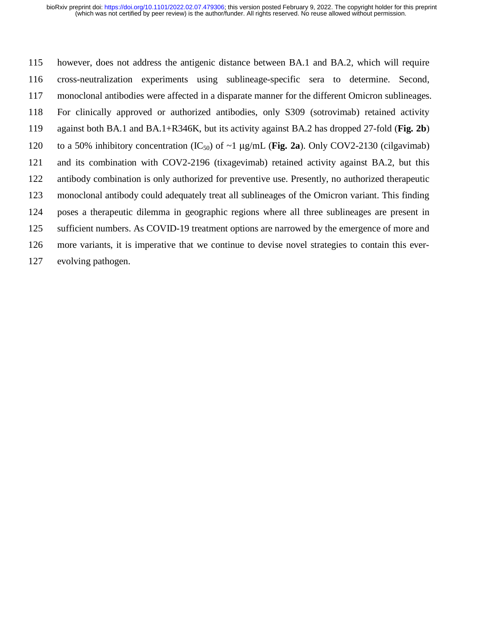115 however, does not address the antigenic distance between BA.1 and BA.2, which will require 116 cross-neutralization experiments using sublineage-specific sera to determine. Second, 117 monoclonal antibodies were affected in a disparate manner for the different Omicron sublineages. 118 For clinically approved or authorized antibodies, only S309 (sotrovimab) retained activity 119 against both BA.1 and BA.1+R346K, but its activity against BA.2 has dropped 27-fold (**Fig. 2b**) 120 to a 50% inhibitory concentration  $(IC_{50})$  of  $\sim$ 1  $\mu$ g/mL (**Fig. 2a**). Only COV2-2130 (cilgavimab) 121 and its combination with COV2-2196 (tixagevimab) retained activity against BA.2, but this 122 antibody combination is only authorized for preventive use. Presently, no authorized therapeutic 123 monoclonal antibody could adequately treat all sublineages of the Omicron variant. This finding 124 poses a therapeutic dilemma in geographic regions where all three sublineages are present in 125 sufficient numbers. As COVID-19 treatment options are narrowed by the emergence of more and 126 more variants, it is imperative that we continue to devise novel strategies to contain this ever-127 evolving pathogen.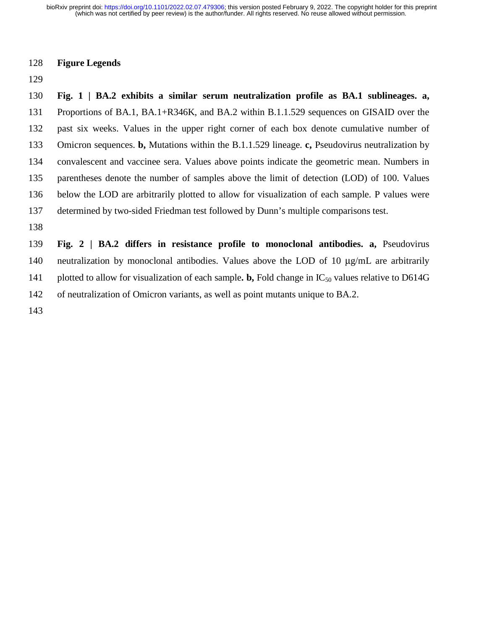### 128 **Figure Legends**

129

130 **Fig. 1 | BA.2 exhibits a similar serum neutralization profile as BA.1 sublineages. a,**  131 Proportions of BA.1, BA.1+R346K, and BA.2 within B.1.1.529 sequences on GISAID over the 132 past six weeks. Values in the upper right corner of each box denote cumulative number of 133 Omicron sequences. **b,** Mutations within the B.1.1.529 lineage. **c,** Pseudovirus neutralization by 134 convalescent and vaccinee sera. Values above points indicate the geometric mean. Numbers in 135 parentheses denote the number of samples above the limit of detection (LOD) of 100. Values 136 below the LOD are arbitrarily plotted to allow for visualization of each sample. P values were 137 determined by two-sided Friedman test followed by Dunn's multiple comparisons test. 138

139 **Fig. 2 | BA.2 differs in resistance profile to monoclonal antibodies. a,** Pseudovirus 140 neutralization by monoclonal antibodies. Values above the LOD of 10 μg/mL are arbitrarily 141 plotted to allow for visualization of each sample. **b**, Fold change in  $IC_{50}$  values relative to D614G 142 of neutralization of Omicron variants, as well as point mutants unique to BA.2.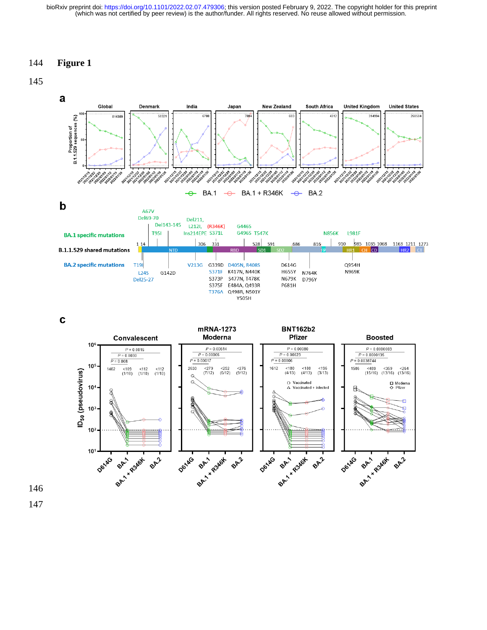### 144 **Figure 1**





 $\mathbf c$ 

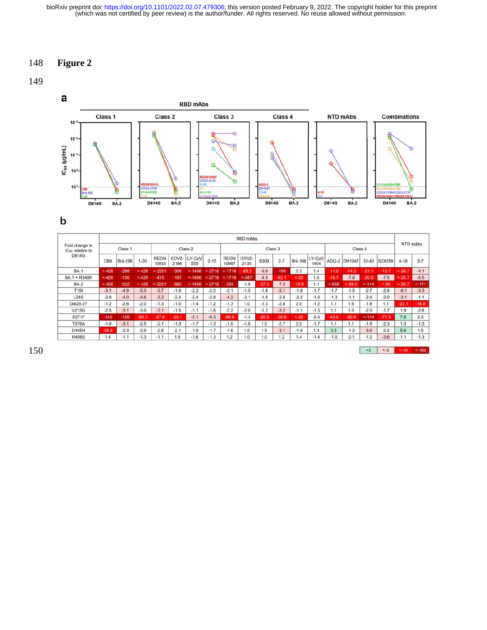# 148 **Figure 2**

## 149



b

|                                                | RBD mAbs        |          |          |                      |                            |               |          |                      |                            |         |         |                 |                |         |              |           |         |          |         |
|------------------------------------------------|-----------------|----------|----------|----------------------|----------------------------|---------------|----------|----------------------|----------------------------|---------|---------|-----------------|----------------|---------|--------------|-----------|---------|----------|---------|
| Fold change in<br>IC <sub>50</sub> relative to | Class 1         |          |          | Class 2              |                            |               |          | Class 3              |                            |         |         |                 |                | Class 4 |              |           |         | NTD mAbs |         |
| <b>D614G</b>                                   | CB <sub>6</sub> | Brii-196 | $1 - 20$ | <b>REGN</b><br>10933 | COV <sub>2</sub> -<br>2196 | LY-CoV<br>555 | $2 - 15$ | <b>REGN</b><br>10987 | COV <sub>2</sub> -<br>2130 | S309    | $2 - 7$ | <b>Brii-198</b> | LY-CoV<br>1404 |         | ADG-2 DH1047 | $10 - 40$ | S2X259  | $4 - 18$ | $5-7$   |
| <b>BA.1</b>                                    | < 428           | $-298$   | < 429    | < 2201               | $-306$                     | $< -1496$     | < 2716   | $< -1716$            | $-83.5$                    | $-6.9$  | $-195$  | 2.3             | 1.4            | $-11.0$ | $-14.2$      | $-21.1$   | $-13.7$ | < 26.7   | $-4.1$  |
| BA.1 + R346K                                   | $< -428$        | $-135$   | < 429    | $-415$               | $-187$                     | < 1496        | < 2716   | < 1716               | < 687                      | $-4.5$  | $-82.1$ | $-.22$          | 1.5            | $-15.7$ | $-7.9$       | $-20.5$   | $-7.5$  | $-.26.7$ | $-5.5$  |
| <b>BA.2</b>                                    | $-428$          | $-322$   | $-429$   | $-2201$              | $-680$                     | $-.1496$      | < 2716   | $-253$               | $-1.9$                     | $-27.0$ | $-7.3$  | $-10.5$         | 1.1            | $-555$  | $-.58.0$     | $-114$    | $-.96$  | $-.26.7$ | $-.171$ |
| T <sub>191</sub>                               | $-3.1$          | $-4.9$   | $-5.3$   | $-3.7$               | $-1.9$                     | $-2.2$        | $-2.0$   | $-2.1$               | $-1.5$                     | $-1.8$  | $-5.1$  | $-1.6$          | $-1.7$         | $-1.7$  | $-1.5$       | $-2.7$    | $-2.9$  | $-6.1$   | $-3.3$  |
| L24S                                           | $-2.9$          | $-4.0$   | $-4.6$   | $-3.2$               | $-2.4$                     | $-2.4$        | $-2.8$   | $-4.2$               | $-2.1$                     | $-1.5$  | $-2.6$  | $-2.2$          | $-1.6$         | $-1.3$  | $-1.1$       | $-2.4$    | $-2.0$  | $-3.1$   | $-1.1$  |
| Del25-27                                       | $-1.2$          | $-2.6$   | $-2.0$   | $-1.3$               | $-1.0$                     | $-1.4$        | $-1.2$   | $-1.3$               | 1.0                        | $-1.3$  | $-2.8$  | 2.0             | $-1.2$         | 1.1     | 1.6          | $-1.8$    | 1.1     | $-23.1$  | $-16.8$ |
| V213G                                          | $-2.5$          | $-3.1$   | $-3.0$   | $-3.1$               | $-1.5$                     | $-1.1$        | $-1.6$   | $-2.2$               | $-2.0$                     | $-1.2$  | $-3.2$  | $-1.1$          | $-1.5$         | 1.1     | 1.0          | $-2.0$    | $-1.7$  | 1.9      | $-2.8$  |
| S371F                                          | $-143$          | $-126$   | $-95.1$  | $-27.9$              | $-26.1$                    | $-5.1$        | $-6.3$   | $-86.6$              | $-1.3$                     | $-20.5$ | $-30.6$ | $-.22$          | $-2.4$         | $-43.0$ | $-60.9$      | $-.114$   | $-77.5$ | 7.8      | 2.3     |
| <b>T376A</b>                                   | $-1.9$          | $-3.1$   | $-2.5$   | $-2.1$               | $-1.3$                     | $-1.7$        | $-1.3$   | $-1.9$               | $-1.8$                     | 1.0     | $-2.7$  | 2.0             | $-1.7$         | 1.1     | 1.1          | $-1.5$    | $-2.3$  | 1.3      | $-1.3$  |
| D405N                                          | $-25.6$         | $-2.3$   | $-2.9$   | $-2.8$               | $-2.1$                     | $-1.9$        | $-1.7$   | $-1.6$               | 1.0                        | 1.5     | $-3.1$  | $-1.6$          | 1.3            | 3.3     | $-1.2$       | $-3.9$    | $-2.2$  | 5.6      | 1.5     |
| <b>R408S</b>                                   | 1.4             | $-1.1$   | $-1.3$   | $-1.1$               | 1.5                        | $-1.6$        | $-1.3$   | 1.2                  | 0.1                        | 1.0     | 1.2     | 1.4             | $-1.4$         | $-1.6$  | $-2.1$       | $-1.2$    | $-3.6$  | 1.1      | $-1.3$  |

150

 $>3$  < 3 < 10 < 100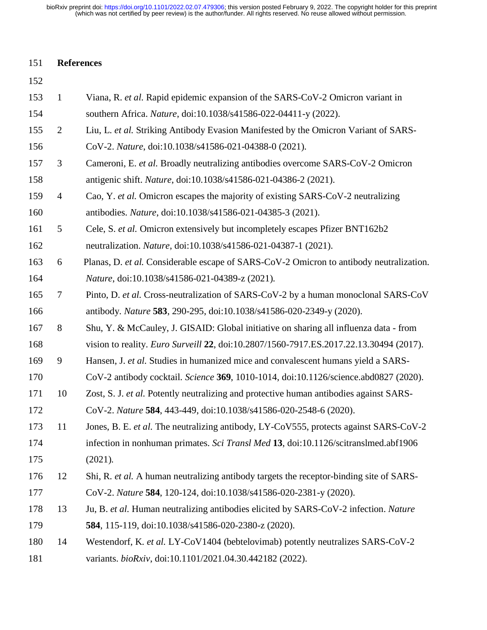# 151 **References**

| 153 | $\mathbf{1}$   | Viana, R. et al. Rapid epidemic expansion of the SARS-CoV-2 Omicron variant in                |
|-----|----------------|-----------------------------------------------------------------------------------------------|
| 154 |                | southern Africa. Nature, doi:10.1038/s41586-022-04411-y (2022).                               |
| 155 | $\overline{2}$ | Liu, L. et al. Striking Antibody Evasion Manifested by the Omicron Variant of SARS-           |
| 156 |                | CoV-2. Nature, doi:10.1038/s41586-021-04388-0 (2021).                                         |
| 157 | 3              | Cameroni, E. et al. Broadly neutralizing antibodies overcome SARS-CoV-2 Omicron               |
| 158 |                | antigenic shift. Nature, doi:10.1038/s41586-021-04386-2 (2021).                               |
| 159 | $\overline{4}$ | Cao, Y. et al. Omicron escapes the majority of existing SARS-CoV-2 neutralizing               |
| 160 |                | antibodies. Nature, doi:10.1038/s41586-021-04385-3 (2021).                                    |
| 161 | 5              | Cele, S. et al. Omicron extensively but incompletely escapes Pfizer BNT162b2                  |
| 162 |                | neutralization. Nature, doi:10.1038/s41586-021-04387-1 (2021).                                |
| 163 | 6              | Planas, D. et al. Considerable escape of SARS-CoV-2 Omicron to antibody neutralization.       |
| 164 |                | Nature, doi:10.1038/s41586-021-04389-z (2021).                                                |
| 165 | 7              | Pinto, D. et al. Cross-neutralization of SARS-CoV-2 by a human monoclonal SARS-CoV            |
| 166 |                | antibody. Nature 583, 290-295, doi:10.1038/s41586-020-2349-y (2020).                          |
| 167 | 8              | Shu, Y. & McCauley, J. GISAID: Global initiative on sharing all influenza data - from         |
| 168 |                | vision to reality. <i>Euro Surveill</i> 22, doi:10.2807/1560-7917.ES.2017.22.13.30494 (2017). |
| 169 | 9              | Hansen, J. et al. Studies in humanized mice and convalescent humans yield a SARS-             |
| 170 |                | CoV-2 antibody cocktail. Science 369, 1010-1014, doi:10.1126/science.abd0827 (2020).          |
| 171 | 10             | Zost, S. J. et al. Potently neutralizing and protective human antibodies against SARS-        |
| 172 |                | CoV-2. Nature 584, 443-449, doi:10.1038/s41586-020-2548-6 (2020).                             |
| 173 | 11             | Jones, B. E. et al. The neutralizing antibody, LY-CoV555, protects against SARS-CoV-2         |
| 174 |                | infection in nonhuman primates. Sci Transl Med 13, doi:10.1126/scitranslmed.abf1906           |
| 175 |                | (2021).                                                                                       |
| 176 | 12             | Shi, R. et al. A human neutralizing antibody targets the receptor-binding site of SARS-       |
| 177 |                | CoV-2. Nature 584, 120-124, doi:10.1038/s41586-020-2381-y (2020).                             |
| 178 | 13             | Ju, B. et al. Human neutralizing antibodies elicited by SARS-CoV-2 infection. Nature          |
| 179 |                | 584, 115-119, doi:10.1038/s41586-020-2380-z (2020).                                           |
| 180 | 14             | Westendorf, K. et al. LY-CoV1404 (bebtelovimab) potently neutralizes SARS-CoV-2               |
| 181 |                | variants. bioRxiv, doi:10.1101/2021.04.30.442182 (2022).                                      |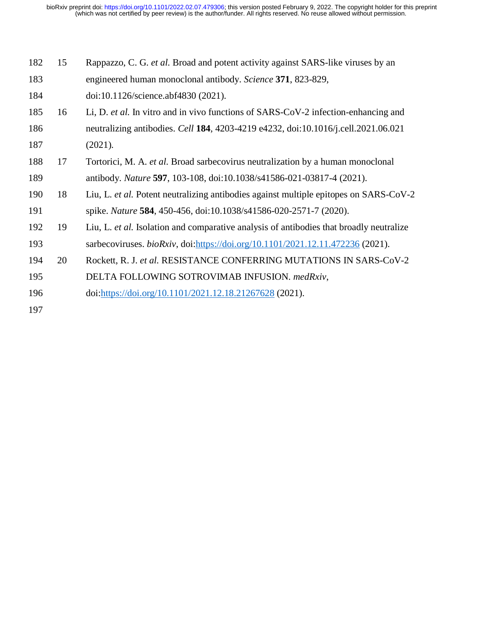| 182 | 15 | Rappazzo, C. G. et al. Broad and potent activity against SARS-like viruses by an        |
|-----|----|-----------------------------------------------------------------------------------------|
| 183 |    | engineered human monoclonal antibody. Science 371, 823-829,                             |
| 184 |    | doi:10.1126/science.abf4830 (2021).                                                     |
| 185 | 16 | Li, D. et al. In vitro and in vivo functions of SARS-CoV-2 infection-enhancing and      |
| 186 |    | neutralizing antibodies. Cell 184, 4203-4219 e4232, doi:10.1016/j.cell.2021.06.021      |
| 187 |    | (2021).                                                                                 |
| 188 | 17 | Tortorici, M. A. et al. Broad sarbecovirus neutralization by a human monoclonal         |
| 189 |    | antibody. Nature 597, 103-108, doi:10.1038/s41586-021-03817-4 (2021).                   |
| 190 | 18 | Liu, L. et al. Potent neutralizing antibodies against multiple epitopes on SARS-CoV-2   |
| 191 |    | spike. Nature 584, 450-456, doi:10.1038/s41586-020-2571-7 (2020).                       |
| 192 | 19 | Liu, L. et al. Isolation and comparative analysis of antibodies that broadly neutralize |
| 193 |    | sarbecoviruses. <i>bioRxiv</i> , doi: https://doi.org/10.1101/2021.12.11.472236 (2021). |
| 194 | 20 | Rockett, R. J. et al. RESISTANCE CONFERRING MUTATIONS IN SARS-CoV-2                     |
| 195 |    | DELTA FOLLOWING SOTROVIMAB INFUSION. medRxiv,                                           |
| 196 |    | doi:https://doi.org/10.1101/2021.12.18.21267628 (2021).                                 |
| 197 |    |                                                                                         |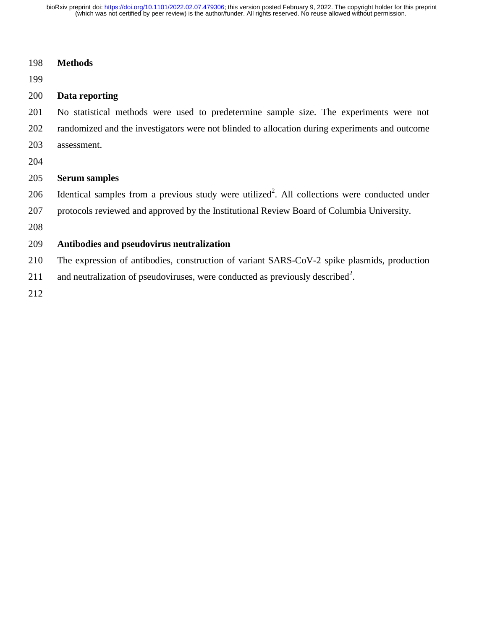|  | 198 | <b>Methods</b> |
|--|-----|----------------|
|--|-----|----------------|

199

## 200 **Data reporting**

201 No statistical methods were used to predetermine sample size. The experiments were not 202 randomized and the investigators were not blinded to allocation during experiments and outcome 203 assessment.

204

## 205 **Serum samples**

206 Identical samples from a previous study were utilized<sup>2</sup>. All collections were conducted under

207 protocols reviewed and approved by the Institutional Review Board of Columbia University.

208

## 209 **Antibodies and pseudovirus neutralization**

210 The expression of antibodies, construction of variant SARS-CoV-2 spike plasmids, production

211 and neutralization of pseudoviruses, were conducted as previously described<sup>2</sup>.